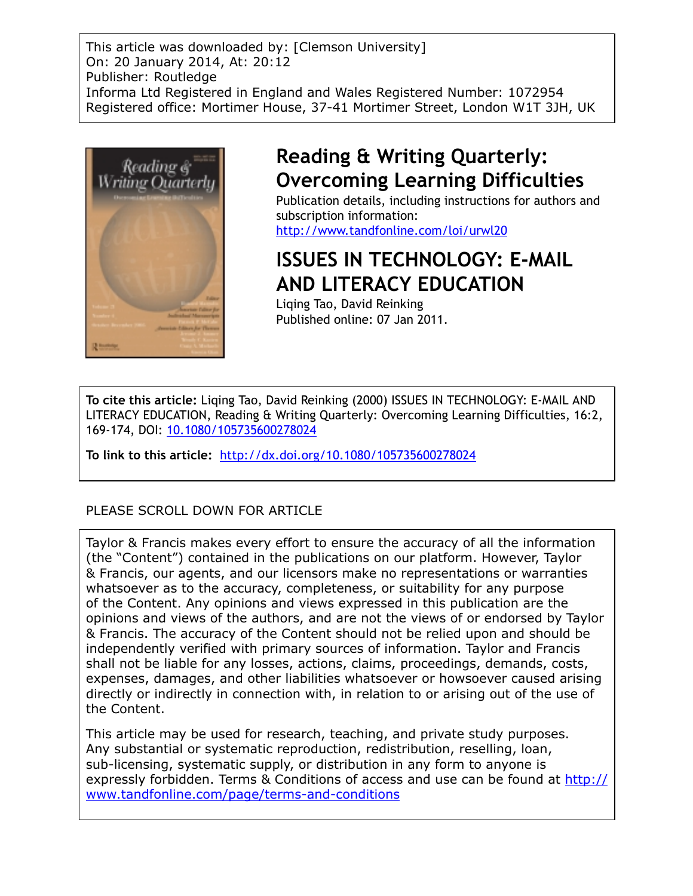This article was downloaded by: [Clemson University] On: 20 January 2014, At: 20:12 Publisher: Routledge Informa Ltd Registered in England and Wales Registered Number: 1072954 Registered office: Mortimer House, 37-41 Mortimer Street, London W1T 3JH, UK



# **Reading & Writing Quarterly: Overcoming Learning Difficulties**

Publication details, including instructions for authors and subscription information: http://www.tandfonline.com/loi/urwl20

# **ISSUES IN TECHNOLOGY: E-MAIL AND LITERACY EDUCATION**

Liqing Tao, David Reinking Published online: 07 Jan 2011.

**To cite this article:** Liqing Tao, David Reinking (2000) ISSUES IN TECHNOLOGY: E-MAIL AND LITERACY EDUCATION, Reading & Writing Quarterly: Overcoming Learning Difficulties, 16:2, 169-174, DOI: 10.1080/105735600278024

**To link to this article:** http://dx.doi.org/10.1080/105735600278024

# PLEASE SCROLL DOWN FOR ARTICLE

Taylor & Francis makes every effort to ensure the accuracy of all the information (the "Content") contained in the publications on our platform. However, Taylor & Francis, our agents, and our licensors make no representations or warranties whatsoever as to the accuracy, completeness, or suitability for any purpose of the Content. Any opinions and views expressed in this publication are the opinions and views of the authors, and are not the views of or endorsed by Taylor & Francis. The accuracy of the Content should not be relied upon and should be independently verified with primary sources of information. Taylor and Francis shall not be liable for any losses, actions, claims, proceedings, demands, costs, expenses, damages, and other liabilities whatsoever or howsoever caused arising directly or indirectly in connection with, in relation to or arising out of the use of the Content.

This article may be used for research, teaching, and private study purposes. Any substantial or systematic reproduction, redistribution, reselling, loan, sub-licensing, systematic supply, or distribution in any form to anyone is expressly forbidden. Terms & Conditions of access and use can be found at http:// www.tandfonline.com/page/terms-and-conditions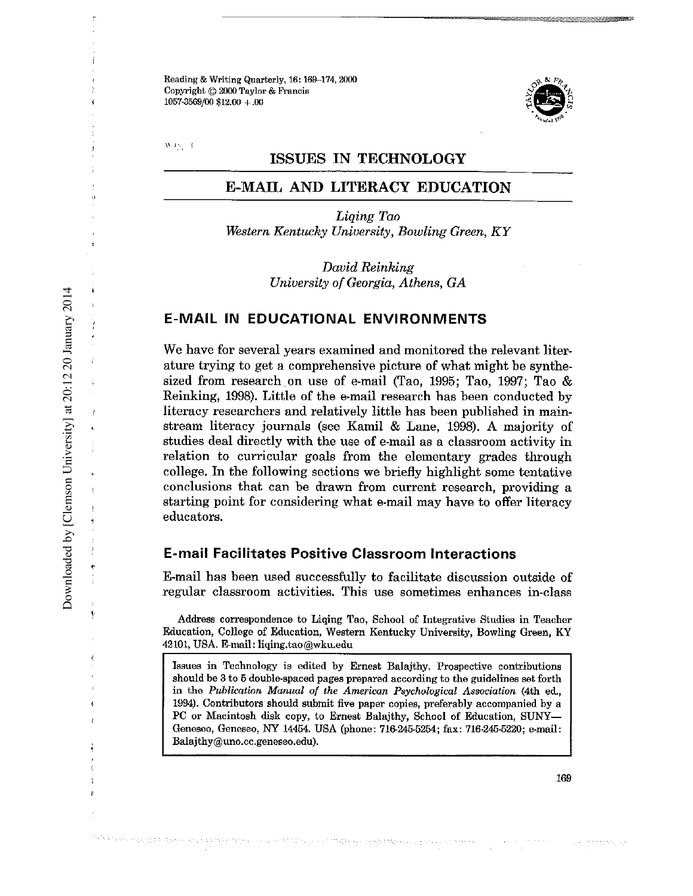**Reading & Writing Quarterly, 16: 169-174.2000 Copyright © 2000 Taylor & Francis** 1057·3569/00 \$12.00 +.00



 $\rm \,AA$  J $\rm \times$  ,  $\rm \,M$ 

#### **ISSUES IN TECHNOLOGY**

# **E-MAIL AND LITERACY EDUCATION**

*Liqing Tao WesternKentucky University, Bowling Green, KY*

> *David Reinking University of Georgia, Athens, GA*

## **E-MAIL IN EDUCATIONAL ENVIRONMENTS**

We have for several years examined and monitored the relevant literature trying to get a comprehensive picture of what might be synthesized from research on use of e-mail (Tao, 1995; Tao, 1997; Tao & Reinking, 1998). Little of the e-mail research has been conducted by literacy researchers and relatively little has been published in mainstream literacy journals (see Kamil & Lane, 1998). A majority of studies deal directly with the use of e-mail as a classroom activity in relation to curricular goals from the elementary grades through college. In the following sections we briefly highlight some tentative **conclusions that can be drawn from current research, providing a** starting point for considering what e-mail may have to offer literacy educators.

#### **E-mail Facilitates Positive Classroom Interactions**

E-mail has been used successfully to facilitate discussion outside of **regular classroom activities. This use sometimes enhances** in-class

**Address correspondence to** Liqing **Tao, School of Integrative Studies in Teacher Education, College of Education, Western Kentucky University, Bowling Green, KY** 42101,USA. E-mail: liqing.tao@wku.edu

**Issues in Technology is edited by Ernest** Balajthy. **Prospective contributions should be 3 to 5 double-spaced pages prepared according to the guidelines set forth in the** *Publication Manual of the American Psychological Association* **(4th** ed., **1994). Contributors should submit five paper copies, preferably accompanied by a PC or Macintosh disk copy, to Ernest** Balajthy, **School of Education, SUNY-Geneseo, Geneseo, NY 14454. USA (phone: 716-245-5254; fax: 716-245-5220; e-mail: Balajthy@uno.cc.geneseo.edu).**

Daniel Karl (1948) standardspatstylanning (finn activities an

Downloaded by [Clemson University] at 20:12 20 January 2014 Downloaded by [Clemson University] at 20:12 20 January 2014

169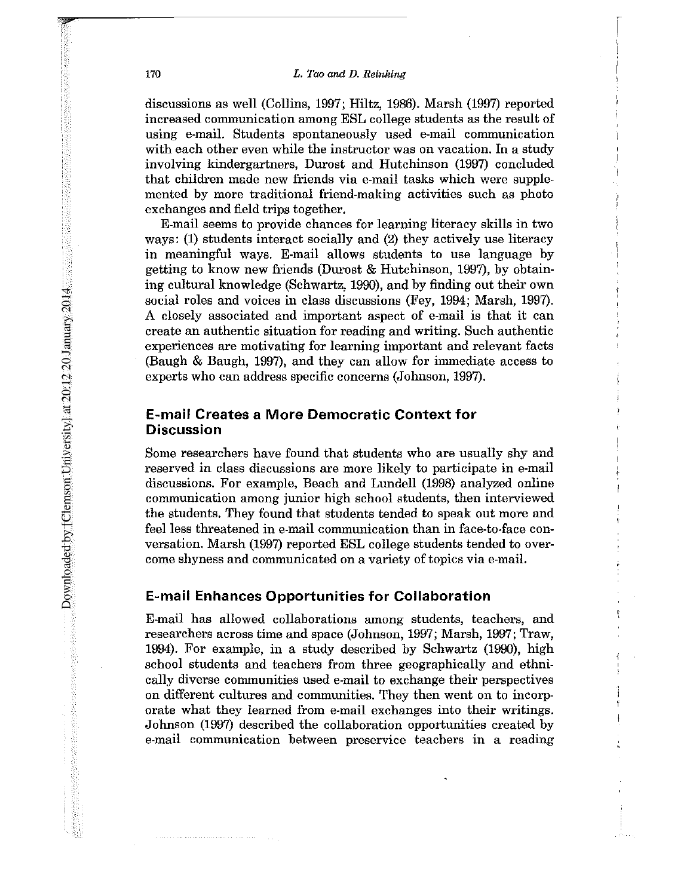#### 170 *L. Tao and D. Reinking*

discussions as well (Collins, 1997; Hiltz, 1986). Marsh (1997) reported increased communication among ESL college students as the result of using e-mail. Students spontaneously used e-mail communication with each other even while the instructor was on vacation. In a study involving kindergartners, Durost and Hutchinson (1997) concluded that children made new friends via e-mail tasks which were supplemented by more traditional friend-making activities such as photo exchanges and field trips together.

E-mail seems to provide chances for learning literacy skills in two ways: (1) students interact socially and (2) they actively use literacy in meaningful ways. E-mail allows students to use language by getting to know new friends (Durost & Hutchinson, 1997), by obtaining cultural knowledge (Schwartz, 1990), and by finding out their own social roles and voices in class discussions (Fey, 1994; Marsh, 1997). A closely associated and important aspect of e-mail is that it can create an authentic situation for reading and writing. Such authentic experiences are motivating for learning important and relevant facts (Baugh & Baugh, 1997), and they can allow for inunediate access to experts who can address specific concerns (Johnson, 1997).

### **E-mail Creates a More Democratic Context for Discussion**

Some researchers have found that students who are usually shy and reserved in class discussions are more likely to participate in e-mail discussions. For example, Beach and Lundell (1998) analyzed online conununication among junior high school students, then interviewed the students. They found that students tended to speak out more and feel less threatened in e-mail communication than in face-to-face conversation. Marsh (1997) reported ESL college students tended to overcome shyness and communicated on a variety of topics via e-mail.

#### **E-mail Enhances Opportunities for Collaboration**

E-mail has allowed collaborations among students, teachers, and researchers across time and space (Johnson, 1997; Marsh, 1997; Traw, 1994). For example, in a study described by Schwartz (1990), high school students and teachers from three geographically and ethnically diverse conununities used e-mail to exchange their perspectives on different cultures and communities. They then went on to incorporate what they learned from e-mail exchanges into their writings. Johnson (1997) described the collaboration opportunities created by e-mail **communication between preservice teachers in a reading**

Downloaded by [Clemson University] at 20:12 20 January 2014 Downloaded by [Clemson University] at 20:12:20 January 2014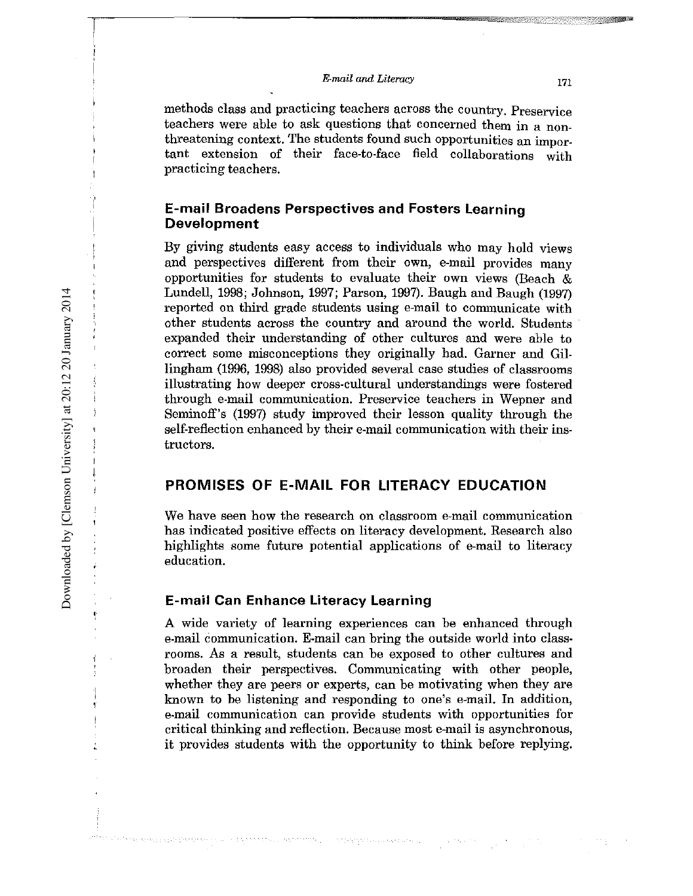*E-mail and Literacy* <sup>171</sup>

methods class and practicing teachers across the country. Preservioe teachers were able to ask questions that concerned them in a nonthreatening context. The students found such opportunities an important extension of their face-to-face field collaborations with practicing teachers.

## **E-mail Broadens Perspectives and Fosters learning Development**

By giving students easy access to individuals who may hold views and perspectives different from their own, e-mail provides many opportunities for students to evaluate their own views (Beach  $\&$ Lundell, 1998; Johnson, 1997; Parson, 1997). Baugh and Baugh (1997) reported on third grade students using e-mail to communicate with other students across the country and around the world. Students . expanded their understanding of other cultures and were able to correct some misconceptions they originally had. Garner and Gillingham (1996, 1998) also provided several case studies of classrooms illustrating how deeper cross-cultural understandings were fostered through e-mail communication. Preservice teachers in Wepner and Seminoff's (1997) study improved their lesson quality through the self-reflection enhanced by their e-mail communication with their instructors.

#### **PROMISES OF E-MAil FOR LITERACY EDUCATION**

**We have seen how the research on classroom** e-mail **communication** has indicated positive effects on literacy development. Research also highlights some future potential applications of e-mail to literacy education.

#### **E-mail Can Enhance literacy learning**

A wide variety of learning experiences can be enhanced through e-mail communication. E-mail can bring the outside world into classrooms. As a result, students can be exposed to other cultures and broaden their perspectives. Communicating with other people, whether they are peers or experts, can be motivating when they are known to be listening and responding to one's e-mail. In addition, **e-mail communication can provide students with opportunities for** critical thinking and reflection. Because most e-mail is asynchronous, it provides students with the opportunity to think before replying.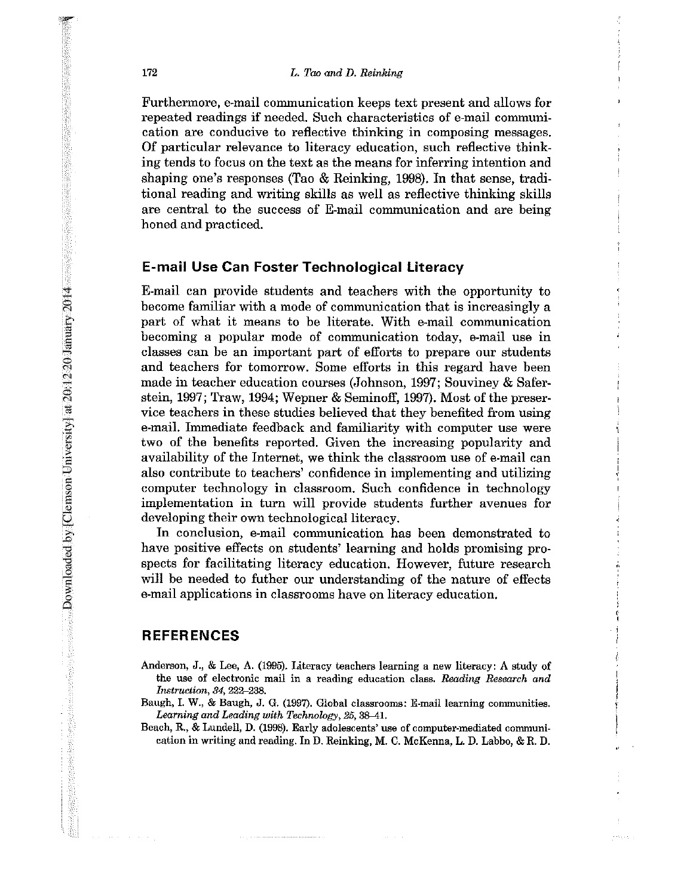#### 172 *L. Tao and D. Reinking*

Furthermore, e-mail communication keeps text present and allows for repeated readings if needed. Such characteristics of e-mail communi**cation are conducive to reflective** thinking in **composing messages.** Of particular relevance to literacy education, such reflective thinking tends to focus on the text as the means for inferring intention and shaping one's responses (Tao & Reinking, 1998). In that sense, traditional reading and writing skills as well as reflective thinking skills are central to the success of E-mail communication and are being honed and practiced.

#### **E-mail Use Can Foster Technological Literacy**

E-mail can provide students and teachers with the opportunity to become familiar with a mode of communication that is increasingly a part of what it means to be literate. With e-mail communication becoming a popular mode of communication today, e-mail use in classes can be an important part of efforts to prepare our students and teachers for tomorrow. Some efforts in this regard have been made in teacher education courses (Johnson, 1997; Souviney & Saferstein, 1997; Traw, 1994; Wepner & Seminoff, 1997). Most of the preservice teachers in these studies believed that they benefited from using e-mail. Immediate feedback and familiarity with computer use were two of the benefits reported. Given the increasing popularity and availability of the Internet, we think the classroom use of e-mail can also contribute to teachers' confidence in implementing and utilizing computer technology in classroom. Such confidence in technology implementation in turn will provide students further avenues for developing their own technological literacy.

In conclusion, e-mail communication has been demonstrated to have positive effects on students' learning and holds promising prospects for facilitating literacy education. However, future research will be needed to futher our understanding of the nature of effects e-mail applications in classrooms have on literacy education.

## **REFERENCES**

- **Anderson, J0' & Lee, A. (1995). Literacy teachers learning a new literacy: A study of the use of electronic mail in a reading education class.** *Reading Research and Instruction,* **84, 222-238.**
- **Baugh, 1.W., & Baugh, J. G. (1997). Global classrooms:** E-mail learning **communities.** *Learning and Leading with Technology,* **25, 38-41.**
- **Beach, R., &Lundell, D. (1998). Early adolescents' use of computer-mediated communication in writing and reading. In D. Reinking, M. C. McKenna, L. D.** Lebbo, **&R. D.**

projecti p

Downloaded by [Clemson University] at 20:12 20 January 2014

**A 102-yasha 103 Kilomiy Downloaded by [Clemson University] at 20:12-00 January 2014** 

 $\mathcal{L}(\mathcal{A})=\mathcal{L}(\mathcal{A})$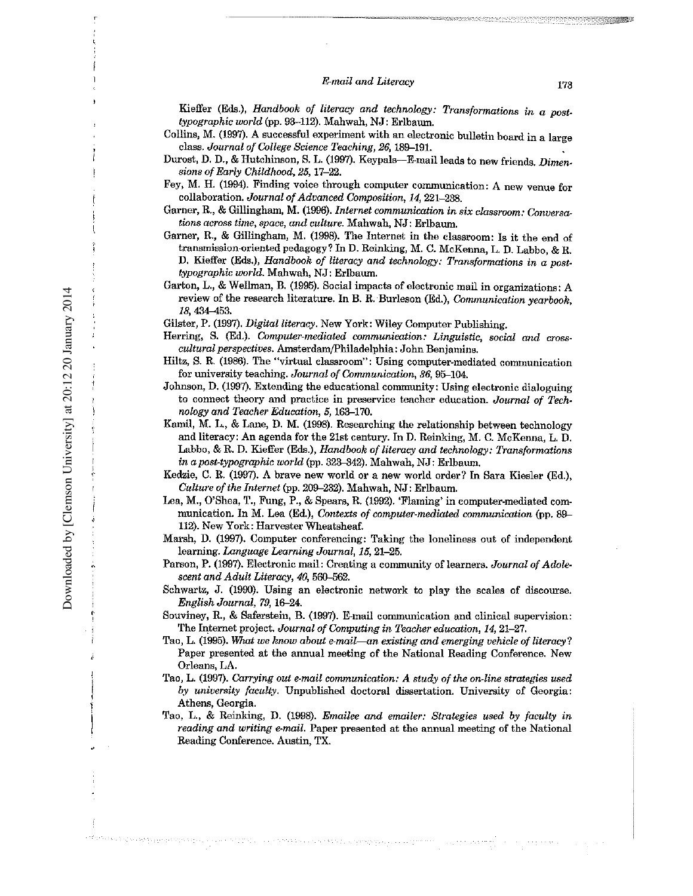#### *E-mail and Literacy* 173

Kieffer (Eds.), *Handbook of literacy and technology: Transformations in a posttypographic world* (pp. 93-112). Mahwah, NJ: Erlbaum. Collins, M. (1997). A successful experiment with an electronic bulletin board in a large class. *Journal of College Science Teaching,* 26, 189-191. Durost, D. D., & Hutchinson, S. L. (1997). Keypals--E-mail leads to new friends. *Dimensions ofEarly Childhood,* 25, 17-22. Fey, M. H. (1994). Finding voice through computer communication: A new venue for collaboration. *Journal of Advanced Composition, 14, 221–238.* Garner, R., & Gillingham, M. (1996). *Internet communication in six classroom: Conversations across time, space, and culture.* Mahwah, NJ: Erlbaurn. Garner, R, & Gillingham, M. (1998). The Internet in the classroom: Is it the end of transmission-oriented pedagogy? In D. Reinking, M. C. McKenna, L. D. Labbo, & R. D. Kieffer (Eds.), *Handbook of literacy and technology: Transformations in a posttypographic world.* Mahwah, NJ: Erlbaum. Garton. L., & Wellman, B. (1995). Social impacts of electronic mail in organizations: A review of the research literature. In B. R.Burleson (Ed.), *Communication yearbook,* 18, 434-453. Gilster, P. (1997). *Digital literacy*. New York: Wiley Computer Publishing. Herring, S. (Ed.). *Computer-mediated communication: Linguistic, social and crosscultural perspectives.* Amsterdam/philadelphia: John Benjamina. Hiltz, S. R. (1986). The "virtual classroom": Using computer-mediated communication for university teaching. *Journal of Communication*, 36, 95-104. Johnson, D. (1997). Extending the educational community: Using electronic dialoguing to connect theory and practice in preservice teacher education. *Journal of Technology and Teacher Education,* 5, 163-170. Kamil, M. L., & Lane, D. M. (1998). Researching the relationship between technology and literacy: An agenda for the 21st century. In D. Reinking, M. C. McKenna, L. D. Labbo, & R. D. Kieffer (Eds.), *Handbook of literacy and technology: Transformations in a post-typographic world* (pp. 323-342). Mahwah, NJ: Erlbaum. Kedzie, C. R. (1997). A brave new world or a new world order? In Sara Kiesler (Ed.), *Culture of the Internet* (pp. 209-232). Mahwah, NJ: Erlbaum. Lea, M., O'Shea, T., Fung, P., & Spears, R. (1992). 'Flaming' in computer-mediated communication. In M. Lea (Ed.), *Contexts of computer-mediated communication* (pp. 89- 112). New York: Harvester Wheatsheaf. Marsh, D. (1997). Computer conferencing: Taking the loneliness out of independent learning. *Language Learning Journal,* 15,21-25. Parson, P. (1997). Electronic mail: Creating a community of learnera. *Journal of Adolescent and Adult Literacy, 40, 560-562.* Schwartz, J. (1990). Using an electronic network to play the scales of discourse. *English Journal,* 79, 16-24. Souviney, R., & Saferstein, B. (1997). E-mail communication and clinical supervision: The Internet project. *Journal ofComputing in Teacher education,* 14, 21-27. Tao, L. (1995). *lWlat we know about e-mail-an existing and emerging vehicle ofliteracy?* Paper presented at the annual meeting of the National Reading Conference. New Orleans, LA. Tao, L. (1997). *Carrying out e-mail communication: A study of the on-line strategies used by university faculty.* Unpublished doctoral dissertation. University of Georgia: Athens, Georgia. Tao, L., & Reinking, D. (1998). *Emailee and emailer: Strategies used by faculty in reading and writing e-mail.* Paper presented at the annual meeting of the National Reading Conference. Austin, TX.

a Marin Pendadan Perjanjang Pada Palau Lulus Kanadara L